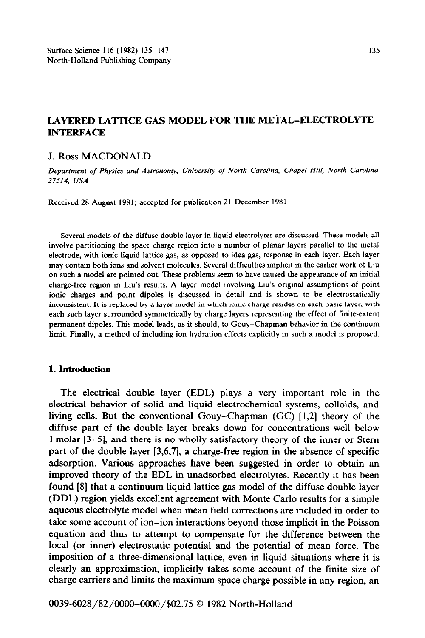# **LAYERED LATTICE GAS MODEL FOR THE METAL-ELECTROLYTE INTERFACE**

# J. Ross MACDONALD

*Deportment of Physics and Astronomy, University of North Carolina, Chapel Hill, North Carolina 27514, USA* 

Received 28 August 1981; accepted for publication 21 December 1981

**Several models of the diffuse double layer in liquid electrolytes are discussed. These models all involve partitioning the space charge region into a number of planar layers parallel to the metal electrode, with ionic liquid lattice gas, as opposed to idea gas, response in each layer. Each layer may contain both ions and solvent molecules. Several difficulties implicit in the earlier work of Liu on such a model are pointed out. These problems seem to have caused the appearance of an initial charge-free region in Liu's results. A layer model involving Liu's original assumptions of point ionic charges and point dipoles is discussed in detail and is shown to be electrostatically inconsistent. It is replaced by a layer model in which ionic charge resides on each basic layer, with each such layer surrounded symmetrically by charge layers representing the effect of finite-extent permanent dipoles. This model leads, as it should, to Gouy-Chapman behavior in the continuum limit. Finally, a method of including ion hydration effects explicitly in such a model is proposed.** 

#### **1. Introduction**

The electrical double layer (EDL) plays a very important role in the electrical behavior of solid and liquid electrochemical systems, colloids, and living cells. But the conventional Gouy-Chapman (GC) [1,2] theory of the diffuse part of the double layer breaks down for concentrations well below 1 molar [3-51, and there is no wholly satisfactory theory of the inner or Stern part of the double layer [3,6,7], a charge-free region in the absence of specific adsorption. Various approaches have been suggested in order to obtain an improved theory of the EDL in unadsorbed electrolytes. Recently it has been found [S] that a continuum liquid lattice gas model of the diffuse double layer (DDL) region yields excellent agreement with Monte Carlo results for a simple aqueous electrolyte model when mean field corrections are included in order to take some account of ion-ion interactions beyond those implicit in the Poisson equation and thus to attempt to compensate for the difference between the local (or inner) electrostatic potential and the potential of mean force. The imposition of a three-dimensional lattice, even in liquid situations where it is clearly an approximation, implicitly takes some account of the finite size of charge carriers and limits the maximum space charge possible in any region, an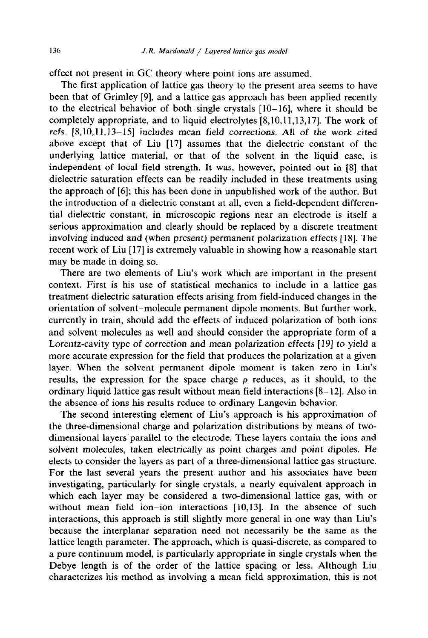effect not present in GC theory where point ions are assumed.

The first application of lattice gas theory to the present area seems to have been that of Grimley [9], and a lattice gas approach has been applied recently to the electrical behavior of both single crystals [10-16], where it should be completely appropriate, and to liquid electrolytes [8,10,11,13,17]. The work of refs. [8,10,11,13-15] includes mean field corrections. All of the work cited above except that of Liu [17] assumes that the dielectric constant of the underlying lattice material, or that of the solvent in the liquid case, is independent of local field strength. It was, however, pointed out in [8] that dielectric saturation effects can be readily included in these treatments using the approach of [6]; this has been done in unpublished work of the author. But the introduction of a dielectric constant at all, even a field-dependent differential dielectric constant, in microscopic regions near an electrode is itself a serious approximation and clearly should be replaced by a discrete treatment involving induced and (when present) permanent polarization effects [ 181. The recent work of Liu [17] is extremely valuable in showing how a reasonable start may be made in doing so.

There are two elements of Liu's work which are important in the present context. First is his use of statistical mechanics to include in a lattice gas treatment dielectric saturation effects arising from field-induced changes in the orientation of solvent-molecule permanent dipole moments. But further work, currently in train, should add the effects of induced polarization of both ions and solvent molecules as well and should consider the appropriate form of a Lorentz-cavity type of correction and mean polarization effects [19] to yield a more accurate expression for the field that produces the polarization at a given layer. When the solvent permanent dipole moment is taken zero in Liu's results, the expression for the space charge  $\rho$  reduces, as it should, to the ordinary liquid lattice gas result without mean field interactions [8- 121. Also in the absence of ions his results reduce to ordinary Langevin behavior.

The second interesting element of Liu's approach is his approximation of the three-dimensional charge and polarization distributions by means of twodimensional layers parallel to the electrode. These layers contain the ions and solvent molecules, taken electrically as point charges and point dipoles. He elects to consider the layers as part of a three-dimensional lattice gas structure. For the last several years the present author and his associates have been investigating, particularly for single crystals, a nearly equivalent approach in which each layer may be considered a two-dimensional lattice gas, with or without mean field ion-ion interactions [10,13]. In the absence of such interactions, this approach is still slightly more general in one way than Liu's because the interplanar separation need not necessarily be the same as the lattice length parameter. The approach, which is quasi-discrete, as compared to a pure continuum model, is particularly appropriate in single crystals when the Debye length is of the order of the lattice spacing or less. Although Liu characterizes his method as involving a mean field approximation, this is not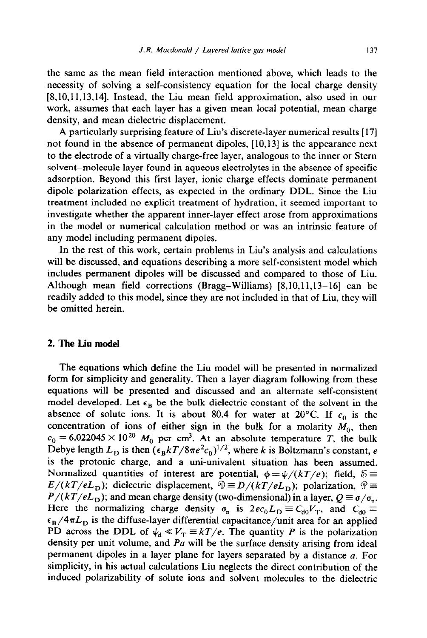the same as the mean field interaction mentioned above, which leads to the necessity of solving a self-consistency equation for the local charge density [8,10,11,13,14]. Instead, the Liu mean field approximation, also used in our work, assumes that each layer has a given mean local potential, mean charge density, and mean dielectric displacement.

A particularly surprising feature of Liu's discrete-layer numerical results [ 171 not found in the absence of permanent dipoles, [ 10,131 is the appearance next to the electrode of a virtually charge-free layer, analogous to the inner or Stern solvent-molecule layer found in aqueous electrolytes in the absence of specific adsorption. Beyond this first layer, ionic charge effects dominate permanent dipole polarization effects, as expected in the ordinary DDL. Since the Liu treatment included no explicit treatment of hydration, it seemed important to investigate whether the apparent inner-layer effect arose from approximations in the model or numerical calculation method or was an intrinsic feature of any model including permanent dipoles.

In the rest of this work, certain problems in Liu's analysis and calculations will be discussed, and equations describing a more self-consistent model which includes permanent dipoles will be discussed and compared to those of Liu. Although mean field corrections (Bragg-Williams) [8,10,11,13-16] can be readily added to this model, since they are not included in that of Liu, they will be omitted herein.

# 2. The **Liu model**

The equations which define the Liu model will be presented in normalized form for simplicity and generality. Then a layer diagram following from these equations will be presented and discussed and an alternate self-consistent model developed. Let  $\epsilon_B$  be the bulk dielectric constant of the solvent in the absence of solute ions. It is about 80.4 for water at 20°C. If  $c_0$  is the concentration of ions of either sign in the bulk for a molarity  $M_0$ , then  $c_0 = 6.022045 \times 10^{20}$  M<sub>0</sub> per cm<sup>3</sup>. At an absolute temperature *T*, the bulk Debye length  $L_D$  is then  $(\epsilon_B kT/8\pi e^2c_0)^{1/2}$ , where k is Boltzmann's constant, e is the protonic charge, and a uni-univalent situation has been assumed. Normalized quantities of interest are potential,  $\phi \equiv \psi/(kT/e)$ ; field,  $\delta \equiv$  $E/(kT/eL_D)$ ; dielectric displacement,  $\mathcal{D} \equiv D/(kT/eL_D)$ ; polarization,  $\mathcal{D} \equiv$  $P/(kT/eL_D)$ ; and mean charge density (two-dimensional) in a layer,  $Q \equiv \sigma/\sigma_n$ . Here the normalizing charge density  $\sigma_n$  is  $2ec_0L_D \equiv C_{d0}V_T$ , and  $C_{d0} \equiv$  $\epsilon_B/4\pi L_D$  is the diffuse-layer differential capacitance/unit area for an applied PD across the DDL of  $\psi_d \ll V_T \equiv kT/e$ . The quantity *P* is the polarization density per unit volume, and *Pa* will be the surface density arising from ideal permanent dipoles in a layer plane for layers separated by a distance a. For simplicity, in his actual calculations Liu neglects the direct contribution of the induced polarizability of solute ions and solvent molecules to the dielectric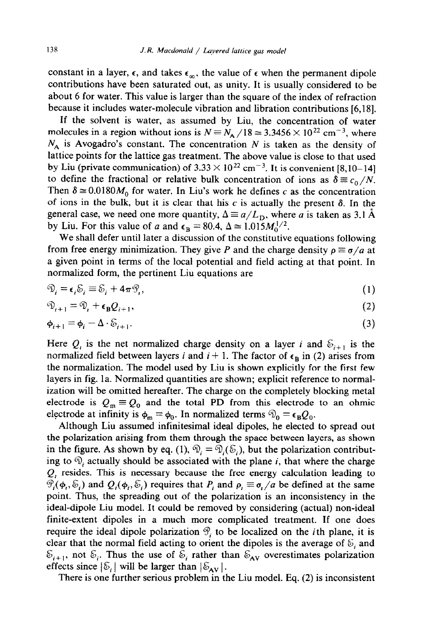constant in a layer,  $\epsilon$ , and takes  $\epsilon_{\infty}$ , the value of  $\epsilon$  when the permanent dipole contributions have been saturated out, as unity. It is usually considered to be about 6 for water. This value is larger than the square of the index of refraction because it includes water-molecule vibration and libration contributions [6,18].

If the solvent is water, as assumed by Liu, the concentration of water molecules in a region without ions is  $N = N_A / 18 \approx 3.3456 \times 10^{22}$  cm<sup>-3</sup>, where  $N_A$  is Avogadro's constant. The concentration N is taken as the density of lattice points for the lattice gas treatment. The above value is close to that used by Liu (private communication) of  $3.33 \times 10^{22}$  cm<sup>-3</sup>. It is convenient [8,10-14] to define the fractional or relative bulk concentration of ions as  $\delta \equiv c_0/N$ . Then  $\delta \approx 0.0180 M_0$  for water. In Liu's work he defines c as the concentration of ions in the bulk, but it is clear that his c is actually the present  $\delta$ . In the general case, we need one more quantity,  $\Delta \equiv a/L_D$ , where *a* is taken as 3.1 Å by Liu. For this value of a and  $\epsilon_R = 80.4$ ,  $\Delta \approx 1.015 M_0^{1/2}$ .

We shall defer until later a discussion of the constitutive equations following from free energy minimization. They give P and the charge density  $\rho \equiv \sigma/a$  at a given point in terms of the local potential and field acting at that point. In normalized form, the pertinent Liu equations are

$$
\mathfrak{D}_i = \epsilon_i \mathfrak{S}_i \equiv \mathfrak{S}_i + 4\pi \mathfrak{P}_i,\tag{1}
$$

$$
\mathcal{D}_{i+1} = \mathcal{D}_i + \epsilon_B Q_{i+1},\tag{2}
$$

$$
\phi_{i+1} = \phi_i - \Delta \cdot \mathcal{E}_{i+1}.\tag{3}
$$

Here  $Q_i$  is the net normalized charge density on a layer i and  $\mathcal{E}_{i+1}$  is the normalized field between layers i and  $i + 1$ . The factor of  $\epsilon_R$  in (2) arises from the normalization. The model used by Liu is shown explicitly for the first few layers in fig. la. Normalized quantities are shown; explicit reference to normalization will be omitted hereafter. The charge on the completely blocking metal electrode is  $Q_m \equiv Q_0$  and the total PD from this electrode to an ohmic electrode at infinity is  $\phi_m = \phi_0$ . In normalized terms  $\mathcal{D}_0 = \epsilon_B Q_0$ .

Although Liu assumed infinitesimal ideal dipoles, he elected to spread out the polarization arising from them through the space between layers, as shown in the figure. As shown by eq. (1),  $\mathfrak{D}_i = \mathfrak{D}_i(\mathfrak{S}_i)$ , but the polarization contributing to  $\mathcal{D}_i$  actually should be associated with the plane i, that where the charge  $Q<sub>i</sub>$  resides. This is necessary because the free energy calculation leading to  $\mathcal{P}_i(\phi_i, \mathcal{E}_i)$  and  $Q_i(\phi_i, \mathcal{E}_i)$  requires that  $P_i$  and  $\rho_i \equiv \sigma_i/a$  be defined at the same point. Thus, the spreading out of the polarization is an inconsistency in the ideal-dipole Liu model. It could be removed by considering (actual) non-ideal finite-extent dipoles in a much more complicated treatment. If one does require the ideal dipole polarization  $\mathcal{P}_i$  to be localized on the *i*th plane, it is clear that the normal field acting to orient the dipoles is the average of  $\mathcal{E}_i$  and  $\mathcal{E}_{i+1}$ , not  $\mathcal{E}_i$ . Thus the use of  $\mathcal{E}_i$  rather than  $\mathcal{E}_{AV}$  overestimates polarization effects since  $|\mathcal{E}_i|$  will be larger than  $|\mathcal{E}_{AV}|$ .

There is one further serious problem in the Liu model. Eq. (2) is inconsistent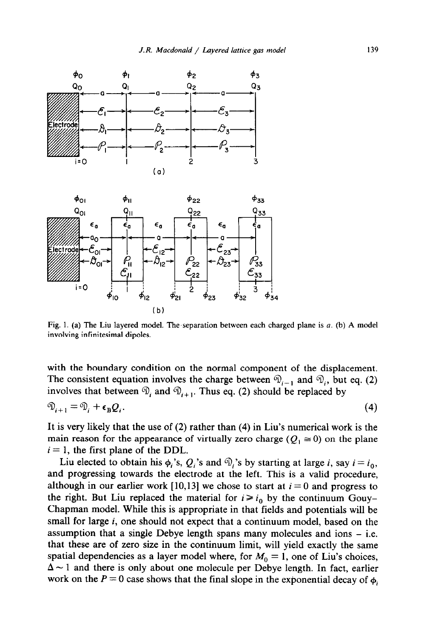



Fig. 1. (a) The Liu layered model. The separation between each charged plane is  $a$ . (b) A model involving infinitesimal dipoles.

with the boundary condition on the normal component of the displacement. The consistent equation involves the charge between  $\mathfrak{D}_{i-1}$  and  $\mathfrak{D}_i$ , but eq. (2) involves that between  $\mathcal{D}_i$  and  $\mathcal{D}_{i+1}$ . Thus eq. (2) should be replaced by

$$
\mathfrak{D}_{i+1} = \mathfrak{D}_i + \epsilon_B Q_i. \tag{4}
$$

It is very likely that the use of (2) rather than (4) in Liu's numerical work is the main reason for the appearance of virtually zero charge ( $Q_1 \cong 0$ ) on the plane  $i = 1$ , the first plane of the DDL.

Liu elected to obtain his  $\phi_i$ 's,  $Q_i$ 's and  $\hat{\varphi}_i$ 's by starting at large *i*, say  $i = i_0$ , and progressing towards the electrode at the left. This is a valid procedure, although in our earlier work [10,13] we chose to start at  $i = 0$  and progress to the right. But Liu replaced the material for  $i \ge i_0$  by the continuum Gouy-Chapman model. While this is appropriate in that fields and potentials will be small for large *i,* one should not expect that a continuum model, based on the assumption that a single Debye length spans many molecules and ions  $-$  i.e. that these are of zero size in the continuum limit, will yield exactly the same spatial dependencies as a layer model where, for  $M_0 = 1$ , one of Liu's choices,  $\Delta \sim 1$  and there is only about one molecule per Debye length. In fact, earlier work on the  $P = 0$  case shows that the final slope in the exponential decay of  $\phi_i$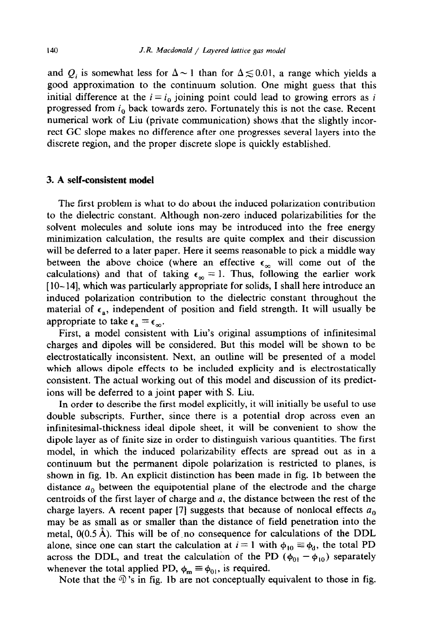and  $Q_i$  is somewhat less for  $\Delta \sim 1$  than for  $\Delta \lesssim 0.01$ , a range which yields a good approximation to the continuum solution. One might guess that this initial difference at the  $i = i_0$  joining point could lead to growing errors as *i* progressed from  $i_0$  back towards zero. Fortunately this is not the case. Recent numerical work of Liu (private communication) shows that the slightly incorrect GC slope makes no difference after one progresses several layers into the discrete region, and the proper discrete slope is quickly established.

# 3. **A self-consistent model**

The first problem is what to do about the induced polarization contribution to the dielectric constant. Although non-zero induced polarizabilities for the solvent molecules and solute ions may be introduced into the free energy minimization calculation, the results are quite complex and their discussion will be deferred to a later paper. Here it seems reasonable to pick a middle way between the above choice (where an effective  $\epsilon_{\infty}$  will come out of the calculations) and that of taking  $\epsilon_{\infty} = 1$ . Thus, following the earlier work [lo- 141, which was particularly appropriate for solids, I shall here introduce an induced polarization contribution to the dielectric constant throughout the material of  $\epsilon_a$ , independent of position and field strength. It will usually be appropriate to take  $\epsilon_{a} = \epsilon_{\infty}$ .

First, a model consistent with Liu's original assumptions of infinitesimal charges and dipoles will be considered. But this model will be shown to be electrostatically inconsistent. Next, an outline will be presented of a model which allows dipole effects to be included explicity and is electrostatically consistent. The actual working out of this model and discussion of its predictions will be deferred to a joint paper with S. Liu.

In order to describe the first model explicitly, it will initially be useful to use double subscripts. Further, since there is a potential drop across even an infinitesimal-thickness ideal dipole sheet, it will be convenient to show the dipole layer as of finite size in order to distinguish various quantities. The first model, in which the induced polarizability effects are spread out as in a continuum but the permanent dipole polarization is restricted to planes, is shown in fig. lb. An explicit distinction has been made in fig. lb between the distance  $a_0$  between the equipotential plane of the electrode and the charge centroids of the first layer of charge and  $a$ , the distance between the rest of the charge layers. A recent paper [7] suggests that because of nonlocal effects  $a_0$ may be as small as or smaller than the distance of field penetration into the metal,  $0(0.5 \text{ Å})$ . This will be of no consequence for calculations of the DDL alone, since one can start the calculation at  $i = 1$  with  $\phi_{10} \equiv \phi_d$ , the total PD across the DDL, and treat the calculation of the PD ( $\phi_{01} - \phi_{10}$ ) separately whenever the total applied PD,  $\phi_m \equiv \phi_{01}$ , is required.

Note that the  $\mathcal{D}'$ 's in fig. 1b are not conceptually equivalent to those in fig.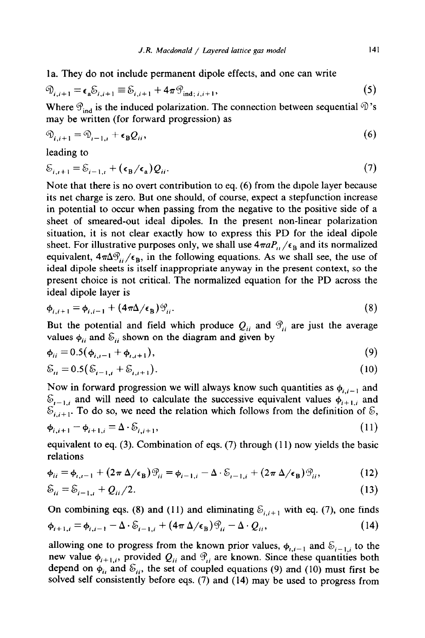la. They do not include permanent dipole effects, and one can write

$$
\mathfrak{D}_{i,i+1} = \epsilon_{\mathbf{a}} \mathcal{E}_{i,i+1} \equiv \mathcal{E}_{i,i+1} + 4\pi \mathcal{P}_{\text{ind};i,i+1},\tag{5}
$$

Where  $\mathcal{P}_{ind}$  is the induced polarization. The connection between sequential  $\mathcal{P}'$ 's may be written (for forward progression) as

$$
\mathcal{D}_{i,i+1} = \mathcal{D}_{i-1,i} + \epsilon_{\mathbf{B}} Q_{ii},\tag{6}
$$

leading to

$$
\mathcal{E}_{i,i+1} = \mathcal{E}_{i-1,i} + (\epsilon_{\mathbf{B}}/\epsilon_{\mathbf{a}})Q_{ii}.\tag{7}
$$

Note that there is no overt contribution to eq. (6) from the dipole layer because its net charge is zero. But one should, of course, expect a stepfunction increase in potential to occur when passing from the negative to the positive side of a sheet of smeared-out ideal dipoles. In the present non-linear polarization situation, it is not clear exactly how to express this PD for the ideal dipole sheet. For illustrative purposes only, we shall use  $4\pi a P_{\mu}/\epsilon_B$  and its normalized equivalent,  $4\pi\Delta\mathcal{P}_{ii}/\epsilon_B$ , in the following equations. As we shall see, the use of ideal dipole sheets is itself inappropriate anyway in the present context, so the present choice is not critical. The normalized equation for the PD across the ideal dipole layer is

$$
\phi_{i,i+1} = \phi_{i,i-1} + (4\pi\Delta/\epsilon_B)\mathcal{P}_{ii}.\tag{8}
$$

But the potential and field which produce  $Q_{ii}$  and  $\mathcal{P}_{ii}$  are just the average values  $\phi_{ii}$  and  $\delta_{ii}$  shown on the diagram and given by

$$
\phi_{ii} = 0.5(\phi_{i,i-1} + \phi_{i,i+1}),\tag{9}
$$

$$
\mathcal{E}_{ii} = 0.5(\mathcal{E}_{i-1,i} + \mathcal{E}_{i,i+1}).\tag{10}
$$

Now in forward progression we will always know such quantities as  $\phi_{i,i-1}$  and  $\mathcal{E}_{i-1,i}$  and will need to calculate the successive equivalent values  $\phi_{i+1,i}$  and  $\mathcal{E}_{i,i+1}$ . To do so, we need the relation which follows from the definition of  $\mathcal{E}_{i}$ ,

$$
\phi_{i,i+1} - \phi_{i+1,i} = \Delta \cdot \delta_{i,i+1},\tag{11}
$$

equivalent to eq. (3). Combination of eqs. (7) through (11) now yields the basic relations

$$
\phi_{ii} = \phi_{i,i-1} + (2\pi \Delta/\epsilon_B)\mathcal{P}_{ii} = \phi_{i-1,i} - \Delta \cdot \mathcal{E}_{i-1,i} + (2\pi \Delta/\epsilon_B)\mathcal{P}_{ii},
$$
(12)

$$
\delta_{ii} = \delta_{i-1,i} + Q_{ii}/2. \tag{13}
$$

On combining eqs. (8) and (11) and eliminating  $\mathcal{E}_{i,i+1}$  with eq. (7), one finds  $\phi_{i+1,i} = \phi_{i,i-1} - \Delta \cdot \delta_{i-1,i} + (4\pi \Delta/\epsilon_B) \mathcal{P}_{ii} - \Delta \cdot Q_{ii},$ (14)

allowing one to progress from the known prior values,  $\phi_{i,i-1}$  and  $\delta_{i-1,i}$  to the new value  $\phi_{i+1,i}$ , provided  $Q_{ii}$  and  $\mathcal{P}_{ii}$  are known. Since these quantities both depend on  $\phi_{ii}$  and  $\delta_{ii}$ , the set of coupled equations (9) and (10) must first be solved self consistently before eqs. (7) and (14) may be used to progress from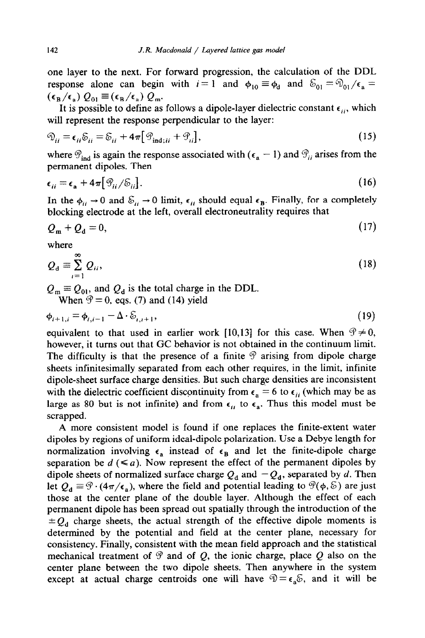one layer to the next. For forward progression, the calculation of the DDL response alone can begin with  $i = 1$  and  $\phi_{10} \equiv \phi_d$  and  $\delta_{01} = \phi_{01}/\epsilon_a =$  $(\epsilon_{\rm B}/\epsilon_{\rm a}) Q_{01} \equiv (\epsilon_{\rm B}/\epsilon_{\rm a}) Q_{\rm m}$ .

It is possible to define as follows a dipole-layer dielectric constant  $\epsilon_{ii}$ , which will represent the response perpendicular to the layer:

$$
\mathfrak{D}_{ii} = \epsilon_{ii}\delta_{ii} = \delta_{ii} + 4\pi \big[\mathfrak{P}_{\text{ind};ii} + \mathfrak{P}_{ii}\big],\tag{15}
$$

where  $\mathcal{P}_{ind}$  is again the response associated with ( $\epsilon_a - 1$ ) and  $\mathcal{P}_{ij}$  arises from the permanent dipoles. Then

$$
\epsilon_{ii} = \epsilon_{\rm a} + 4\pi \big[\mathcal{P}_{ii}/\mathcal{E}_{ii}\big]. \tag{16}
$$

In the  $\phi_{ii} \rightarrow 0$  and  $\mathcal{E}_{ii} \rightarrow 0$  limit,  $\epsilon_{ii}$  should equal  $\epsilon_{\mathbf{B}}$ . Finally, for a completely blocking electrode at the left, overall electroneutrality requires that

$$
Q_{\rm m} + Q_{\rm d} = 0,\tag{17}
$$

z.

where

$$
Q_{\rm d} \equiv \sum_{i=1}^{\infty} Q_{ii},\tag{18}
$$

 $Q_m \equiv Q_{01}$ , and  $Q_d$  is the total charge in the DDL.

When  $\mathcal{P} = 0$ , eqs. (7) and (14) yield

$$
\phi_{i+1,i} = \phi_{i,i-1} - \Delta \cdot \mathcal{E}_{i,i+1},\tag{19}
$$

equivalent to that used in earlier work [10,13] for this case. When  $\mathcal{P} \neq 0$ , however, it turns out that GC behavior is not obtained in the continuum limit. The difficulty is that the presence of a finite  $\mathcal P$  arising from dipole charge sheets infinitesimally separated from each other requires, in the limit, infinite dipole-sheet surface charge densities. But such charge densities are inconsistent with the dielectric coefficient discontinuity from  $\epsilon_a = 6$  to  $\epsilon_{ii}$  (which may be as large as 80 but is not infinite) and from  $\epsilon_{ii}$  to  $\epsilon_a$ . Thus this model must be scrapped.

A more consistent model is found if one replaces the finite-extent water dipoles by regions of uniform ideal-dipole polarization. Use a Debye length for normalization involving  $\epsilon_{\rm a}$  instead of  $\epsilon_{\rm B}$  and let the finite-dipole charge separation be  $d \leq a$ ). Now represent the effect of the permanent dipoles by dipole sheets of normalized surface charge  $Q_d$  and  $-Q_d$ , separated by d. Then let  $Q_d = \mathcal{P} \cdot (4\pi/\epsilon_a)$ , where the field and potential leading to  $\mathcal{P}(\phi, \mathcal{E})$  are just those at the center plane of the double layer. Although the effect of each permanent dipole has been spread out spatially through the introduction of the  $\pm Q_d$  charge sheets, the actual strength of the effective dipole moments is determined by the potential and field at the center plane, necessary for consistency. Finally, consistent with the mean field approach and the statistical mechanical treatment of  $\mathcal{P}$  and of  $Q$ , the ionic charge, place  $Q$  also on the center plane between the two dipole sheets. Then anywhere in the system except at actual charge centroids one will have  $\mathcal{D} = \epsilon_{a}\mathcal{E}$ , and it will be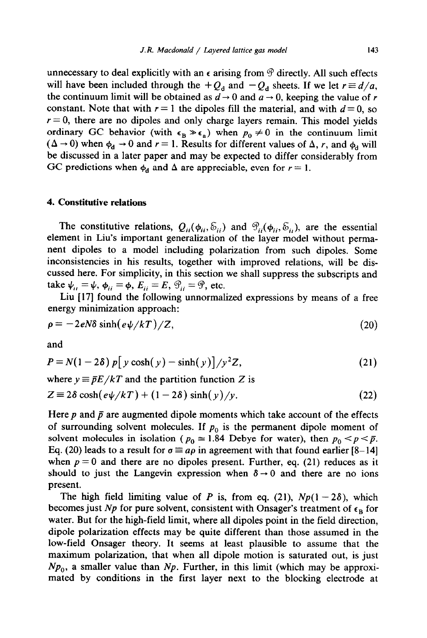unnecessary to deal explicitly with an  $\epsilon$  arising from  $\mathcal P$  directly. All such effects will have been included through the  $+Q_d$  and  $-Q_d$  sheets. If we let  $r \equiv d/a$ , the continuum limit will be obtained as  $d \to 0$  and  $a \to 0$ , keeping the value of *r* constant. Note that with  $r = 1$  the dipoles fill the material, and with  $d = 0$ , so  $r = 0$ , there are no dipoles and only charge layers remain. This model yields ordinary GC behavior (with  $\epsilon_B \gg \epsilon_a$ ) when  $p_0 \neq 0$  in the continuum limit  $(\Delta \rightarrow 0)$  when  $\phi_d \rightarrow 0$  and  $r = 1$ . Results for different values of  $\Delta$ , r, and  $\phi_d$  will be discussed in a later paper and may be expected to differ considerably from GC predictions when  $\phi_d$  and  $\Delta$  are appreciable, even for  $r = 1$ .

#### 4. **Constitutive relations**

The constitutive relations,  $Q_{ii}(\phi_{ii}, \delta_{ii})$  and  $\mathcal{P}_{ii}(\phi_{ii}, \delta_{ii})$ , are the essential element in Liu's important generalization of the layer model without permanent dipoles to a model including polarization from such dipoles. Some inconsistencies in his results, together with improved relations, will be discussed here. For simplicity, in this section we shall suppress the subscripts and take  $\psi_{ii} = \psi$ ,  $\phi_{ii} = \phi$ ,  $E_{ii} = E$ ,  $\mathcal{P}_{ii} = \mathcal{P}$ , etc.

Liu [17] found the following unnormalized expressions by means of a free energy minimization approach:

$$
\rho = -2eN\delta \sinh(e\psi/kT)/Z, \qquad (20)
$$

and

$$
P = N(1 - 2\delta) p[y \cosh(y) - \sinh(y)]/y^2 Z,
$$
 (21)

where  $y = \bar{p}E/kT$  and the partition function Z is

$$
Z = 2\delta \cosh(e\psi/kT) + (1 - 2\delta) \sinh(y)/y. \tag{22}
$$

Here  $p$  and  $\bar{p}$  are augmented dipole moments which take account of the effects of surrounding solvent molecules. If  $p_0$  is the permanent dipole moment of solvent molecules in isolation ( $p_0 \approx 1.84$  Debye for water), then  $p_0 < p < \bar{p}$ . *Eq.* (20) leads to a result for  $\sigma \equiv a\rho$  in agreement with that found earlier [8-14] when  $p = 0$  and there are no dipoles present. Further, eq. (21) reduces as it should to just the Langevin expression when  $\delta \rightarrow 0$  and there are no ions present.

The high field limiting value of *P* is, from eq. (21),  $Np(1-2\delta)$ , which becomes just *Np* for pure solvent, consistent with Onsager's treatment of  $\epsilon_B$  for water. But for the high-field limit, where all dipoles point in the field direction, dipole polarization effects may be quite different than those assumed in the low-field Onsager theory. It seems at least plausible to assume that the maximum polarization, that when all dipole motion is saturated out, is just  $Np_0$ , a smaller value than  $Np$ . Further, in this limit (which may be approximated by conditions in the first layer next to the blocking electrode at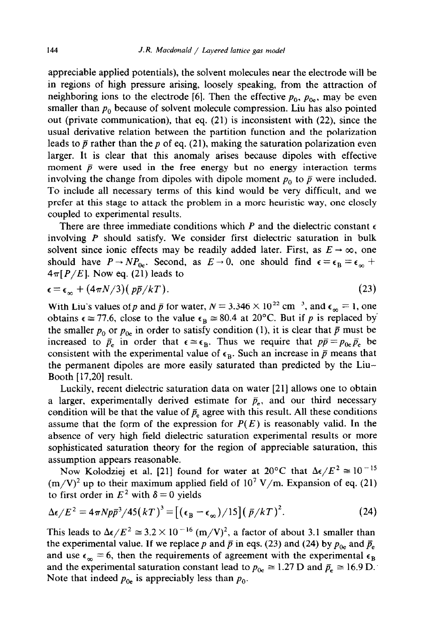appreciable applied potentials), the solvent molecules near the electrode will be in regions of high pressure arising, loosely speaking, from the attraction of neighboring ions to the electrode [6]. Then the effective  $p_0$ ,  $p_{0e}$ , may be even smaller than  $p_0$  because of solvent molecule compression. Liu has also pointed out (private communication), that eq. (21) is inconsistent with (22), since the usual derivative relation between the partition function and the polarization leads to  $\bar{p}$  rather than the p of eq. (21), making the saturation polarization even larger. It is clear that this anomaly arises because dipoles with effective moment  $\bar{p}$  were used in the free energy but no energy interaction terms involving the change from dipoles with dipole moment  $p_0$  to  $\bar{p}$  were included. To include all necessary terms of this kind would be very difficult, and we prefer at this stage to attack the problem in a more heuristic way, one closely coupled to experimental results.

There are three immediate conditions which  $P$  and the dielectric constant  $\epsilon$ involving *P* should satisfy. We consider first dielectric saturation in bulk solvent since ionic effects may be readily added later. First, as  $E \rightarrow \infty$ , one should have  $P \rightarrow NP_{0e}$ . Second, as  $E \rightarrow 0$ , one should find  $\epsilon = \epsilon_B = \epsilon_\infty +$  $4\pi[P/E]$ . Now eq. (21) leads to

$$
\epsilon = \epsilon_{\infty} + (4\pi N/3)(p\bar{p}/kT). \tag{23}
$$

With Liu's values of p and  $\bar{p}$  for water,  $N = 3.346 \times 10^{22}$  cm<sup>-3</sup>, and  $\epsilon_{\infty} = 1$ , one obtains  $\epsilon \approx 77.6$ , close to the value  $\epsilon_B \approx 80.4$  at 20°C. But if *p* is replaced by the smaller  $p_0$  or  $p_{0e}$  in order to satisfy condition (1), it is clear that  $\bar{p}$  must be increased to  $\bar{p}_e$  in order that  $\epsilon \approx \epsilon_B$ . Thus we require that  $p\bar{p} = p_{0e}\bar{p}_e$  be consistent with the experimental value of  $\epsilon_B$ . Such an increase in  $\bar{p}$  means that the permanent dipoles are more easily saturated than predicted by the Liu-Booth  $[17,20]$  result.

Luckily, recent dielectric saturation data on water [21] allows one to obtain a larger, experimentally derived estimate for  $\bar{p}_e$ , and our third necessary condition will be that the value of  $\bar{p}_e$  agree with this result. All these conditions assume that the form of the expression for  $P(E)$  is reasonably valid. In the absence of very high field dielectric saturation experimental results or more sophisticated saturation theory for the region of appreciable saturation, this assumption appears reasonable.

Now Kolodziej et al. [21] found for water at 20°C that  $\Delta \epsilon / E^2 \approx 10^{-15}$  $(m/V)^2$  up to their maximum applied field of 10<sup>7</sup> V/m. Expansion of eq. (21) to first order in  $E^2$  with  $\delta = 0$  yields

$$
\Delta \epsilon / E^2 = 4\pi N p \bar{p}^3 / 45 (kT)^3 = \left[ \left( \epsilon_B - \epsilon_\infty \right) / 15 \right] \left( \bar{p} / kT \right)^2. \tag{24}
$$

This leads to  $\Delta \epsilon / E^2 \approx 3.2 \times 10^{-16}$  (m/V)<sup>2</sup>, a factor of about 3.1 smaller than the experimental value. If we replace p and  $\bar{p}$  in eqs. (23) and (24) by  $p_{0e}$  and  $\bar{p}_e$ and use  $\epsilon_{\infty} = 6$ , then the requirements of agreement with the experimental  $\epsilon_{\text{R}}$ and the experimental saturation constant lead to  $p_{0e} \approx 1.27$  D and  $\bar{p}_e \approx 16.9$  D. Note that indeed  $p_{0e}$  is appreciably less than  $p_0$ .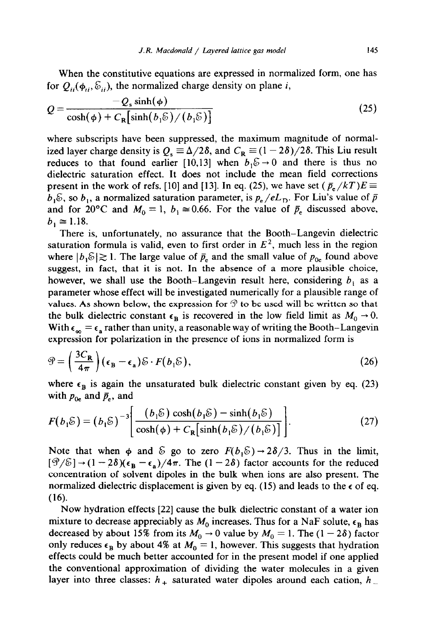When the constitutive equations are expressed in normalized form, one has for  $Q_{ii}(\phi_{ii}, \delta_{ii})$ , the normalized charge density on plane *i*,

$$
Q = \frac{-Q_s \sinh(\phi)}{\cosh(\phi) + C_R \left[\sinh(b_1 \delta)/(b_1 \delta)\right]}
$$
 (25)

where subscripts have been suppressed, the maximum magnitude of normalized layer charge density is  $Q_s \equiv \Delta/2\delta$ , and  $C_R \equiv (1 - 2\delta)/2\delta$ . This Liu result reduces to that found earlier [10,13] when  $b_1 \delta \rightarrow 0$  and there is thus no dielectric saturation effect. It does not include the mean field corrections present in the work of refs. [10] and [13]. In eq. (25), we have set ( $\bar{p}_e/kT$ ) $E \equiv$  $b_1\delta$ , so  $b_1$ , a normalized saturation parameter, is  $p_e/eL_D$ . For Liu's value of  $\bar{p}$ and for 20°C and  $M_0 = 1$ ,  $b_1 \approx 0.66$ . For the value of  $\bar{p}_e$  discussed above,  $b_1 \cong 1.18$ .

There is, unfortunately, no assurance that the Booth-Langevin dielectric saturation formula is valid, even to first order in  $E<sup>2</sup>$ , much less in the region where  $|b_1 \& \geq 1$ . The large value of  $\bar{p}_e$  and the small value of  $p_{0e}$  found above suggest, in fact, that it is not. In the absence of a more plausible choice, however, we shall use the Booth-Langevin result here, considering *6,* as a parameter whose effect will be investigated numerically for a plausible range of values. As shown below, the expression for  $\mathcal{P}$  to be used will be written so that the bulk dielectric constant  $\epsilon_R$  is recovered in the low field limit as  $M_0 \rightarrow 0$ . With  $\epsilon_{\infty} = \epsilon_{\rm a}$  rather than unity, a reasonable way of writing the Booth-Langevin expression for polarization in the presence of ions in normalized form is

$$
\mathcal{P} = \left(\frac{3C_{\mathbf{R}}}{4\pi}\right)(\epsilon_{\mathbf{B}} - \epsilon_{\mathbf{a}})\mathcal{E} \cdot F(b_1\mathcal{E}),
$$
\n(26)

where  $\epsilon_B$  is again the unsaturated bulk dielectric constant given by eq. (23) with  $p_{0e}$  and  $\bar{p}_e$ , and

$$
F(b_1\mathcal{E}) = (b_1\mathcal{E})^{-3} \left[ \frac{(b_1\mathcal{E})\cosh(b_1\mathcal{E}) - \sinh(b_1\mathcal{E})}{\cosh(\phi) + C_R [\sinh(b_1\mathcal{E})/(b_1\mathcal{E})]} \right].
$$
 (27)

Note that when  $\phi$  and  $\delta$  go to zero  $F(b_1\delta) \rightarrow 2\delta/3$ . Thus in the limit,  $[\mathcal{P}/\mathcal{E}] \rightarrow (1 - 2\delta)(\epsilon_B - \epsilon_a)/4\pi$ . The  $(1 - 2\delta)$  factor accounts for the reduced concentration of solvent dipoles in the bulk when ions are also present. The normalized dielectric displacement is given by eq. (15) and leads to the  $\epsilon$  of eq. (16).

Now hydration effects [22] cause the bulk dielectric constant of a water ion mixture to decrease appreciably as  $M_0$  increases. Thus for a NaF solute,  $\epsilon_R$  has decreased by about 15% from its  $M_0 \rightarrow 0$  value by  $M_0 = 1$ . The  $(1-2\delta)$  factor only reduces  $\epsilon_B$  by about 4% at  $M_0 = 1$ , however. This suggests that hydration effects could be much better accounted for in the present model if one applied the conventional approximation of dividing the water molecules in a given layer into three classes:  $h_+$  saturated water dipoles around each cation,  $h_-$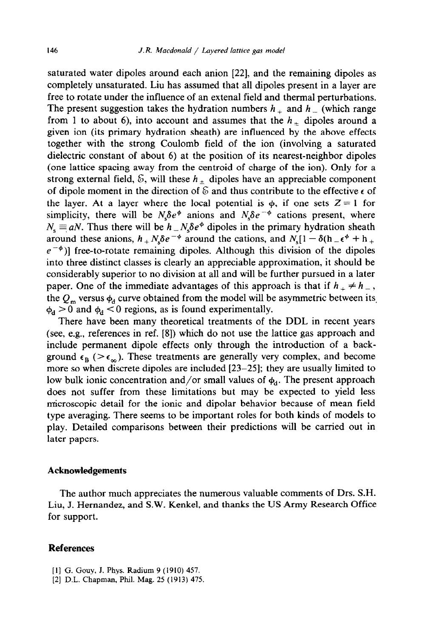saturated water dipoles around each anion [22], and the remaining dipoles as completely unsaturated. Liu has assumed that all dipoles present in a layer are free to rotate under the influence of an extenal field and thermal perturbations. The present suggestion takes the hydration numbers  $h_+$  and  $h_-$  (which range from 1 to about 6), into account and assumes that the  $h<sub>±</sub>$  dipoles around a given ion (its primary hydration sheath) are influenced by the above effects together with the strong Coulomb field of the ion (involving a saturated dielectric constant of about 6) at the position of its nearest-neighbor dipoles (one lattice spacing away from the centroid of charge of the ion). Only for a strong external field,  $\delta$ , will these  $h_{+}$  dipoles have an appreciable component of dipole moment in the direction of  $\delta$  and thus contribute to the effective  $\epsilon$  of the layer. At a layer where the local potential is  $\phi$ , if one sets Z = 1 for simplicity, there will be  $N_{\rm e} \delta e^{\phi}$  anions and  $N_{\rm e} \delta e^{-\phi}$  cations present, where  $N_s \equiv aN$ . Thus there will be  $h_N \delta e^{\phi}$  dipoles in the primary hydration sheath around these anions,  $h_+ N_s \delta e^{-\phi}$  around the cations, and  $N_s[1 - \delta(h_- \epsilon^{\phi} + h_+$  $e^{-\phi}$ )] free-to-rotate remaining dipoles. Although this division of the dipoles into three distinct classes is clearly an appreciable approximation, it should be considerably superior to no division at all and will be further pursued in a later paper. One of the immediate advantages of this approach is that if  $h_{+} \neq h_{-}$ , the  $Q_m$  versus  $\phi_d$  curve obtained from the model will be asymmetric between its,  $\phi_d > 0$  and  $\phi_d < 0$  regions, as is found experimentally.

There have been many theoretical treatments of the DDL in recent years (see, e.g., references in ref. [S]) which do not use the lattice gas approach and include permanent dipole effects only through the introduction of a background  $\epsilon_B$  ( $>\epsilon_{\infty}$ ). These treatments are generally very complex, and become more so when discrete dipoles are included [23-251; they are usually limited to low bulk ionic concentration and/or small values of  $\phi_d$ . The present approach does not suffer from these limitations but may be expected to yield less microscopic detail for the ionic and dipolar behavior because of mean field type averaging. There seems to be important roles for both kinds of models to play. Detailed comparisons between their predictions will be carried out in later papers.

#### **Acknowledgements**

The author much appreciates the numerous valuable comments of Drs. S.H. Liu, J. Hernandez, and S.W. Kenkel, and thanks the US Army Research Office for support.

### **References**

- [I] G. Gouy, J. Phys. Radium 9 (1910) 457.
- [Z] D.L. Chapman, Phil. Mag. 25 (1913) 475.